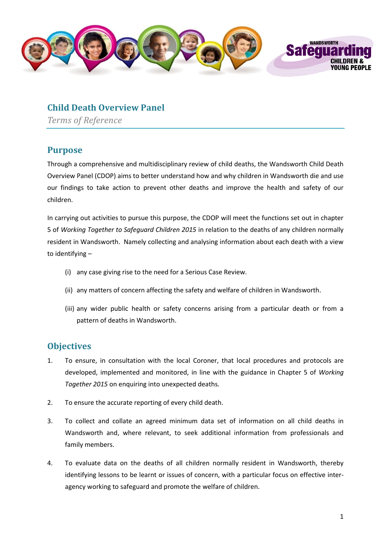

## **Child Death Overview Panel**

*Terms of Reference*

## **Purpose**

Through a comprehensive and multidisciplinary review of child deaths, the Wandsworth Child Death Overview Panel (CDOP) aims to better understand how and why children in Wandsworth die and use our findings to take action to prevent other deaths and improve the health and safety of our children.

In carrying out activities to pursue this purpose, the CDOP will meet the functions set out in chapter 5 of *Working Together to Safeguard Children 2015* in relation to the deaths of any children normally resident in Wandsworth. Namely collecting and analysing information about each death with a view to identifying –

- (i) any case giving rise to the need for a Serious Case Review.
- (ii) any matters of concern affecting the safety and welfare of children in Wandsworth.
- (iii) any wider public health or safety concerns arising from a particular death or from a pattern of deaths in Wandsworth.

## **Objectives**

- 1. To ensure, in consultation with the local Coroner, that local procedures and protocols are developed, implemented and monitored, in line with the guidance in Chapter 5 of *Working Together 2015* on enquiring into unexpected deaths.
- 2. To ensure the accurate reporting of every child death.
- 3. To collect and collate an agreed minimum data set of information on all child deaths in Wandsworth and, where relevant, to seek additional information from professionals and family members.
- 4. To evaluate data on the deaths of all children normally resident in Wandsworth, thereby identifying lessons to be learnt or issues of concern, with a particular focus on effective interagency working to safeguard and promote the welfare of children.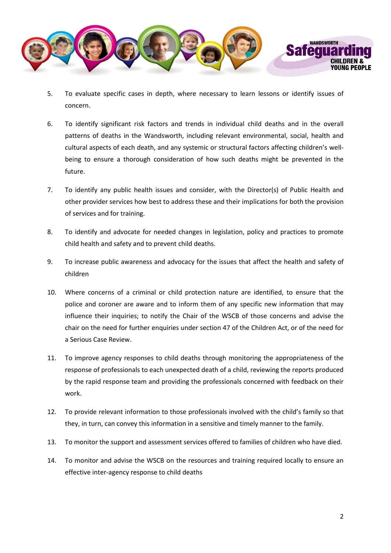

- 5. To evaluate specific cases in depth, where necessary to learn lessons or identify issues of concern.
- 6. To identify significant risk factors and trends in individual child deaths and in the overall patterns of deaths in the Wandsworth, including relevant environmental, social, health and cultural aspects of each death, and any systemic or structural factors affecting children's wellbeing to ensure a thorough consideration of how such deaths might be prevented in the future.
- 7. To identify any public health issues and consider, with the Director(s) of Public Health and other provider services how best to address these and their implications for both the provision of services and for training.
- 8. To identify and advocate for needed changes in legislation, policy and practices to promote child health and safety and to prevent child deaths.
- 9. To increase public awareness and advocacy for the issues that affect the health and safety of children
- 10. Where concerns of a criminal or child protection nature are identified, to ensure that the police and coroner are aware and to inform them of any specific new information that may influence their inquiries; to notify the Chair of the WSCB of those concerns and advise the chair on the need for further enquiries under section 47 of the Children Act, or of the need for a Serious Case Review.
- 11. To improve agency responses to child deaths through monitoring the appropriateness of the response of professionals to each unexpected death of a child, reviewing the reports produced by the rapid response team and providing the professionals concerned with feedback on their work.
- 12. To provide relevant information to those professionals involved with the child's family so that they, in turn, can convey this information in a sensitive and timely manner to the family.
- 13. To monitor the support and assessment services offered to families of children who have died.
- 14. To monitor and advise the WSCB on the resources and training required locally to ensure an effective inter-agency response to child deaths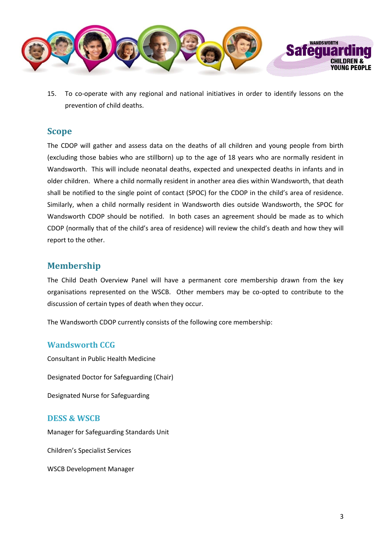

15. To co-operate with any regional and national initiatives in order to identify lessons on the prevention of child deaths.

#### **Scope**

The CDOP will gather and assess data on the deaths of all children and young people from birth (excluding those babies who are stillborn) up to the age of 18 years who are normally resident in Wandsworth. This will include neonatal deaths, expected and unexpected deaths in infants and in older children. Where a child normally resident in another area dies within Wandsworth, that death shall be notified to the single point of contact (SPOC) for the CDOP in the child's area of residence. Similarly, when a child normally resident in Wandsworth dies outside Wandsworth, the SPOC for Wandsworth CDOP should be notified. In both cases an agreement should be made as to which CDOP (normally that of the child's area of residence) will review the child's death and how they will report to the other.

## **Membership**

The Child Death Overview Panel will have a permanent core membership drawn from the key organisations represented on the WSCB. Other members may be co-opted to contribute to the discussion of certain types of death when they occur.

The Wandsworth CDOP currently consists of the following core membership:

## **Wandsworth CCG**

Consultant in Public Health Medicine

Designated Doctor for Safeguarding (Chair)

Designated Nurse for Safeguarding

#### **DESS & WSCB**

Manager for Safeguarding Standards Unit

Children's Specialist Services

WSCB Development Manager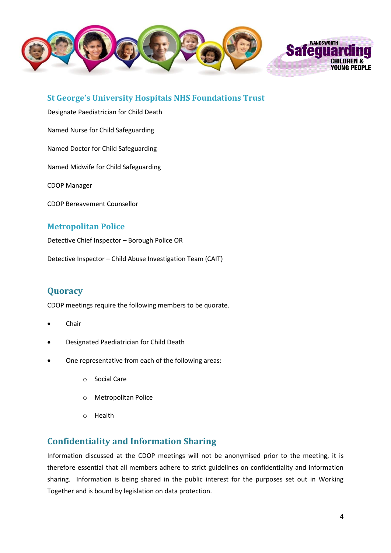

**St George's University Hospitals NHS Foundations Trust**

Designate Paediatrician for Child Death

Named Nurse for Child Safeguarding

Named Doctor for Child Safeguarding

Named Midwife for Child Safeguarding

CDOP Manager

CDOP Bereavement Counsellor

## **Metropolitan Police**

Detective Chief Inspector – Borough Police OR

Detective Inspector – Child Abuse Investigation Team (CAIT)

# **Quoracy**

CDOP meetings require the following members to be quorate.

- Chair
- Designated Paediatrician for Child Death
- One representative from each of the following areas:
	- o Social Care
	- o Metropolitan Police
	- o Health

# **Confidentiality and Information Sharing**

Information discussed at the CDOP meetings will not be anonymised prior to the meeting, it is therefore essential that all members adhere to strict guidelines on confidentiality and information sharing. Information is being shared in the public interest for the purposes set out in Working Together and is bound by legislation on data protection.